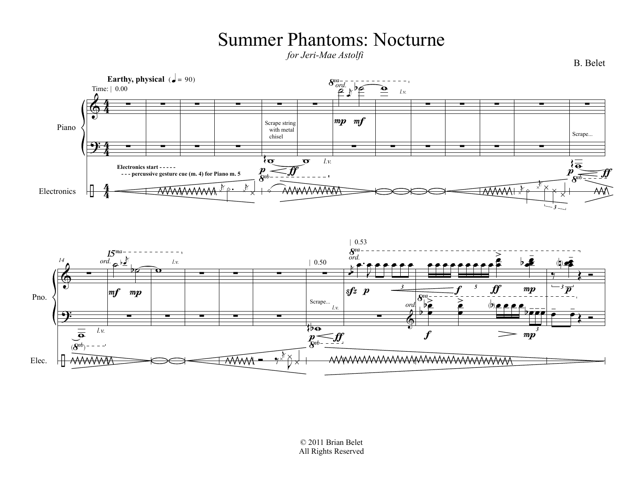## Summer Phantoms: Nocturne

*for Jeri-Mae Astolfi*





B. Belet